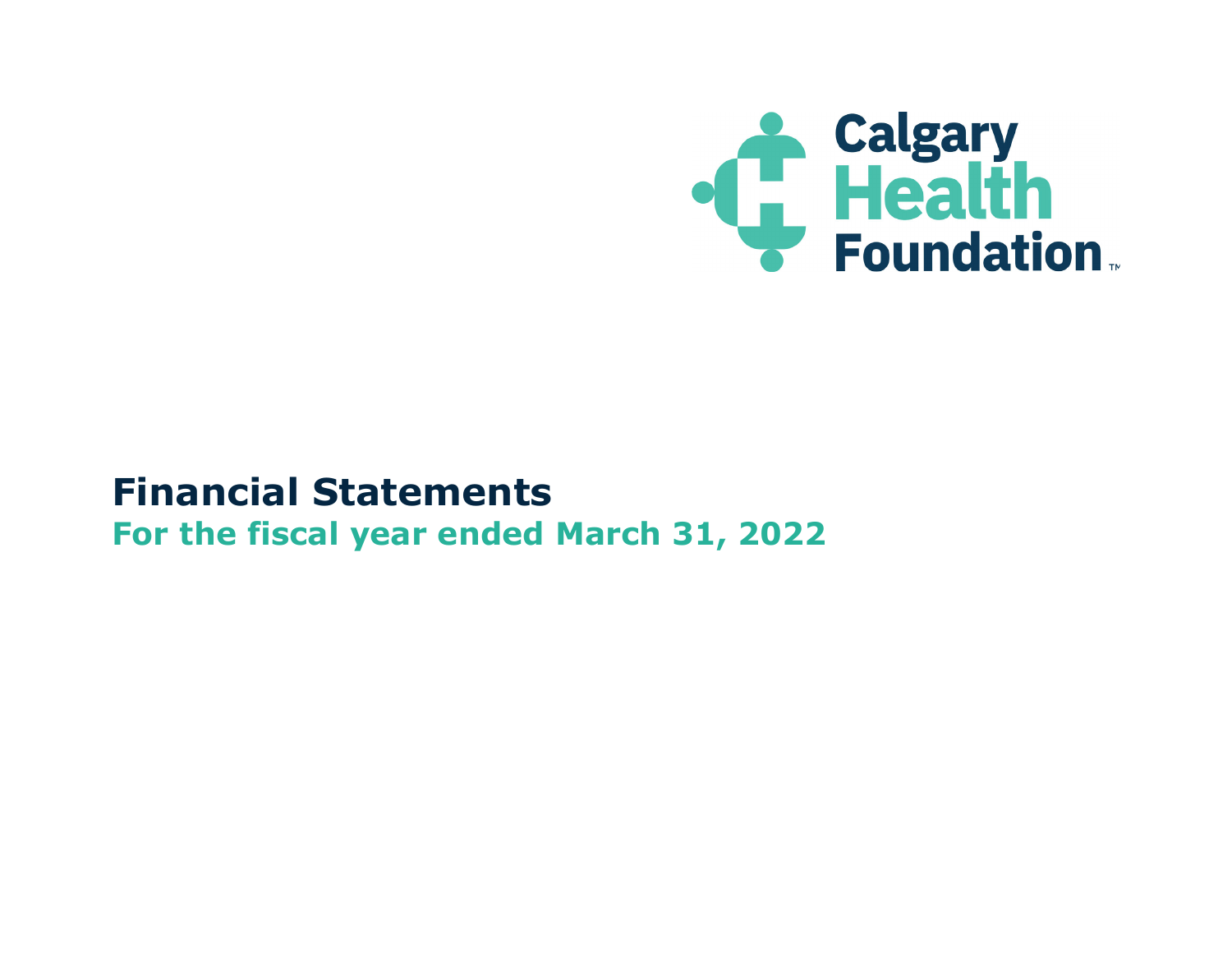

# **Financial Statements**

**For the fiscal year ended March 31, 2022**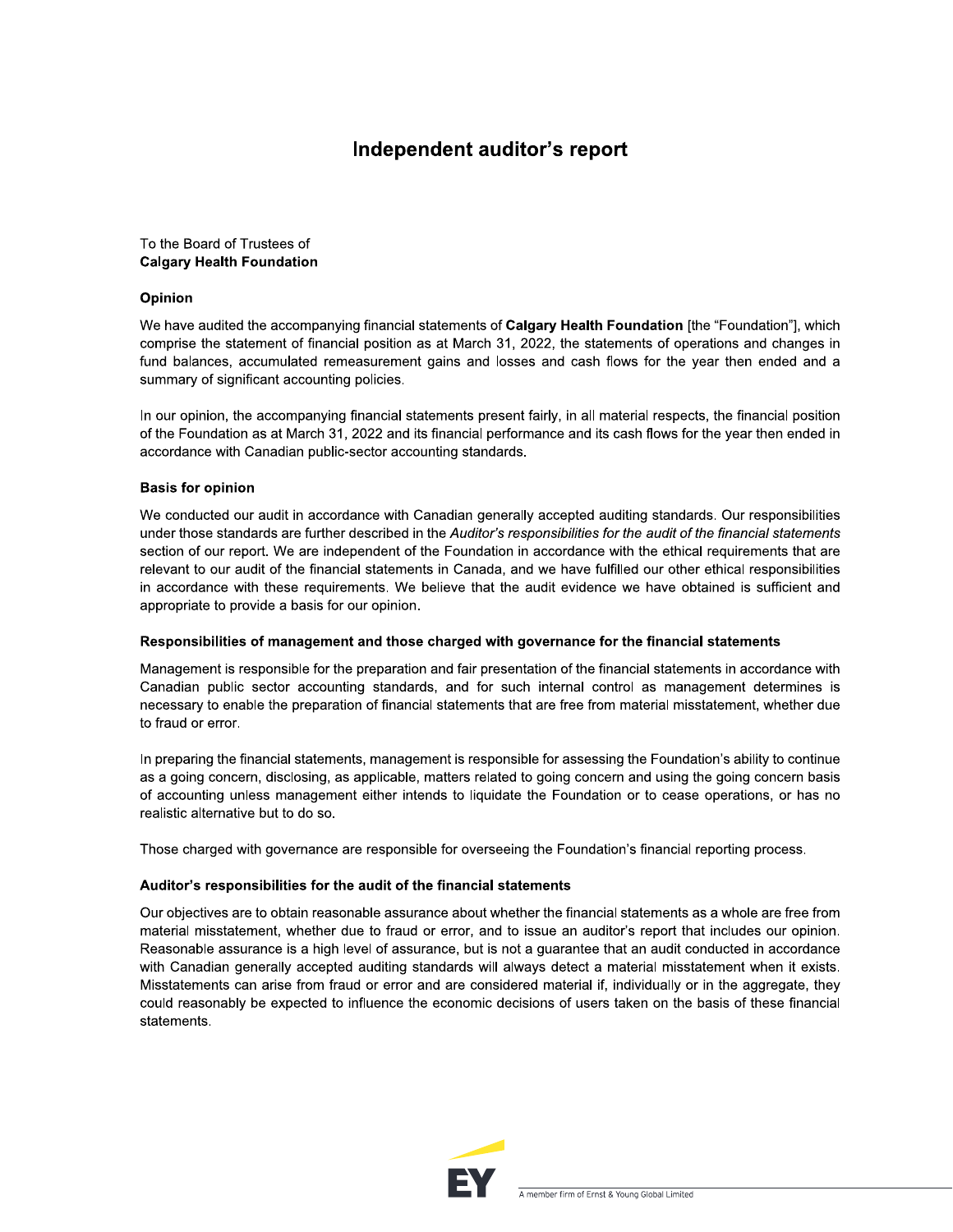### Independent auditor's report

To the Board of Trustees of **Calgary Health Foundation** 

#### Opinion

We have audited the accompanying financial statements of Calgary Health Foundation [the "Foundation"], which comprise the statement of financial position as at March 31, 2022, the statements of operations and changes in fund balances, accumulated remeasurement gains and losses and cash flows for the year then ended and a summary of significant accounting policies.

In our opinion, the accompanying financial statements present fairly, in all material respects, the financial position of the Foundation as at March 31, 2022 and its financial performance and its cash flows for the year then ended in accordance with Canadian public-sector accounting standards.

#### **Basis for opinion**

We conducted our audit in accordance with Canadian generally accepted auditing standards. Our responsibilities under those standards are further described in the Auditor's responsibilities for the audit of the financial statements section of our report. We are independent of the Foundation in accordance with the ethical requirements that are relevant to our audit of the financial statements in Canada, and we have fulfilled our other ethical responsibilities in accordance with these requirements. We believe that the audit evidence we have obtained is sufficient and appropriate to provide a basis for our opinion.

#### Responsibilities of management and those charged with governance for the financial statements

Management is responsible for the preparation and fair presentation of the financial statements in accordance with Canadian public sector accounting standards, and for such internal control as management determines is necessary to enable the preparation of financial statements that are free from material misstatement, whether due to fraud or error.

In preparing the financial statements, management is responsible for assessing the Foundation's ability to continue as a going concern, disclosing, as applicable, matters related to going concern and using the going concern basis of accounting unless management either intends to liquidate the Foundation or to cease operations, or has no realistic alternative but to do so.

Those charged with governance are responsible for overseeing the Foundation's financial reporting process.

#### Auditor's responsibilities for the audit of the financial statements

Our objectives are to obtain reasonable assurance about whether the financial statements as a whole are free from material misstatement, whether due to fraud or error, and to issue an auditor's report that includes our opinion. Reasonable assurance is a high level of assurance, but is not a quarantee that an audit conducted in accordance with Canadian generally accepted auditing standards will always detect a material misstatement when it exists. Misstatements can arise from fraud or error and are considered material if, individually or in the aggregate, they could reasonably be expected to influence the economic decisions of users taken on the basis of these financial statements.

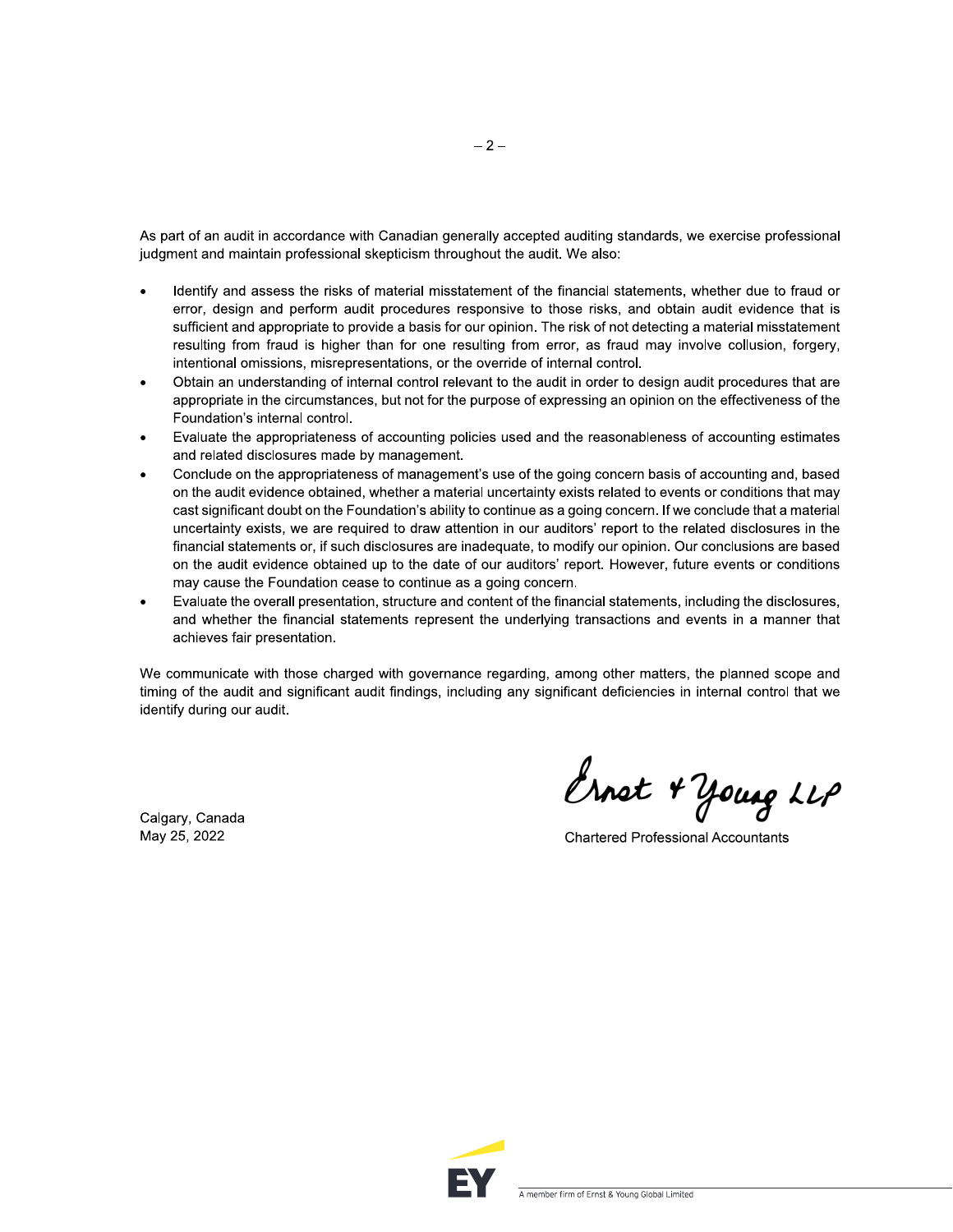As part of an audit in accordance with Canadian generally accepted auditing standards, we exercise professional judgment and maintain professional skepticism throughout the audit. We also:

- Identify and assess the risks of material misstatement of the financial statements, whether due to fraud or error, design and perform audit procedures responsive to those risks, and obtain audit evidence that is sufficient and appropriate to provide a basis for our opinion. The risk of not detecting a material misstatement resulting from fraud is higher than for one resulting from error, as fraud may involve collusion, forgery, intentional omissions, misrepresentations, or the override of internal control.
- Obtain an understanding of internal control relevant to the audit in order to design audit procedures that are appropriate in the circumstances, but not for the purpose of expressing an opinion on the effectiveness of the Foundation's internal control.
- Evaluate the appropriateness of accounting policies used and the reasonableness of accounting estimates and related disclosures made by management.
- Conclude on the appropriateness of management's use of the going concern basis of accounting and, based on the audit evidence obtained, whether a material uncertainty exists related to events or conditions that may cast significant doubt on the Foundation's ability to continue as a going concern. If we conclude that a material uncertainty exists, we are required to draw attention in our auditors' report to the related disclosures in the financial statements or, if such disclosures are inadequate, to modify our opinion. Our conclusions are based on the audit evidence obtained up to the date of our auditors' report. However, future events or conditions may cause the Foundation cease to continue as a going concern.
- Evaluate the overall presentation, structure and content of the financial statements, including the disclosures,  $\bullet$ and whether the financial statements represent the underlying transactions and events in a manner that achieves fair presentation.

We communicate with those charged with governance regarding, among other matters, the planned scope and timing of the audit and significant audit findings, including any significant deficiencies in internal control that we identify during our audit.

Calgary, Canada May 25, 2022

Ernet + Young LLP

**Chartered Professional Accountants** 

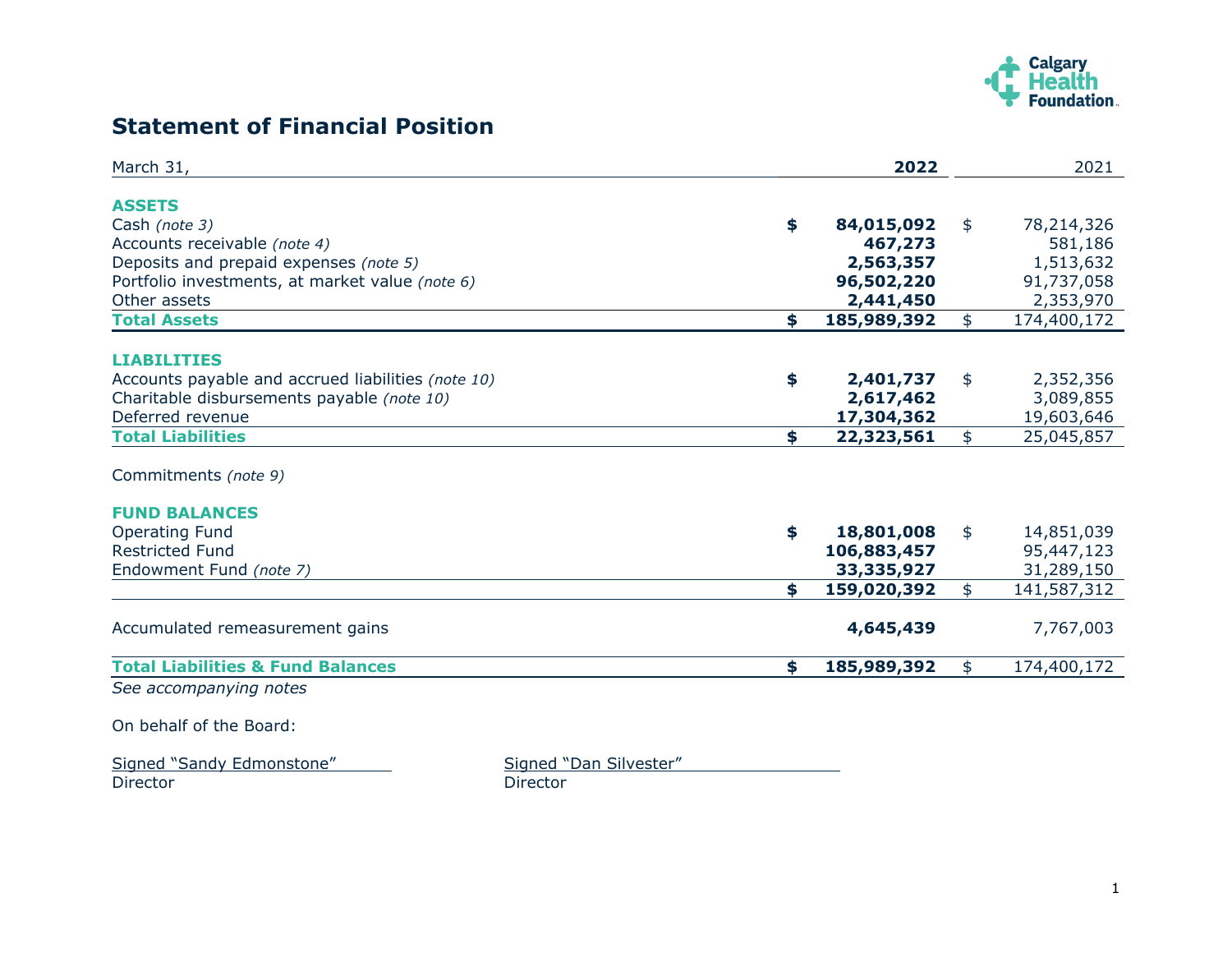

### **Statement of Financial Position**

| March 31,                                           | 2022                              | 2021        |
|-----------------------------------------------------|-----------------------------------|-------------|
| <b>ASSETS</b>                                       |                                   |             |
| Cash (note 3)                                       | \$<br>84,015,092<br>\$            | 78,214,326  |
| Accounts receivable (note 4)                        | 467,273                           | 581,186     |
| Deposits and prepaid expenses (note 5)              | 2,563,357                         | 1,513,632   |
| Portfolio investments, at market value (note 6)     | 96,502,220                        | 91,737,058  |
| Other assets                                        | 2,441,450                         | 2,353,970   |
| <b>Total Assets</b>                                 | 185,989,392<br>\$<br>\$           | 174,400,172 |
| <b>LIABILITIES</b>                                  |                                   |             |
| Accounts payable and accrued liabilities (note 10)  | \$<br>2,401,737<br>\$             | 2,352,356   |
| Charitable disbursements payable (note 10)          | 2,617,462                         | 3,089,855   |
| Deferred revenue                                    | 17,304,362                        | 19,603,646  |
| <b>Total Liabilities</b>                            | $\frac{1}{2}$<br>\$<br>22,323,561 | 25,045,857  |
| Commitments (note 9)                                |                                   |             |
| <b>FUND BALANCES</b>                                |                                   |             |
| <b>Operating Fund</b>                               | \$<br>\$<br>18,801,008            | 14,851,039  |
| <b>Restricted Fund</b>                              | 106,883,457                       | 95,447,123  |
| Endowment Fund (note 7)                             | 33,335,927                        | 31,289,150  |
|                                                     | \$<br>\$<br>159,020,392           | 141,587,312 |
| Accumulated remeasurement gains                     | 4,645,439                         | 7,767,003   |
| <b>Total Liabilities &amp; Fund Balances</b>        | 185,989,392<br>\$<br>\$           | 174,400,172 |
| See accompanying notes                              |                                   |             |
| On behalf of the Board:                             |                                   |             |
| Signed "Sandy Edmonstone"<br>Signed "Dan Silvester" |                                   |             |

Director Director Director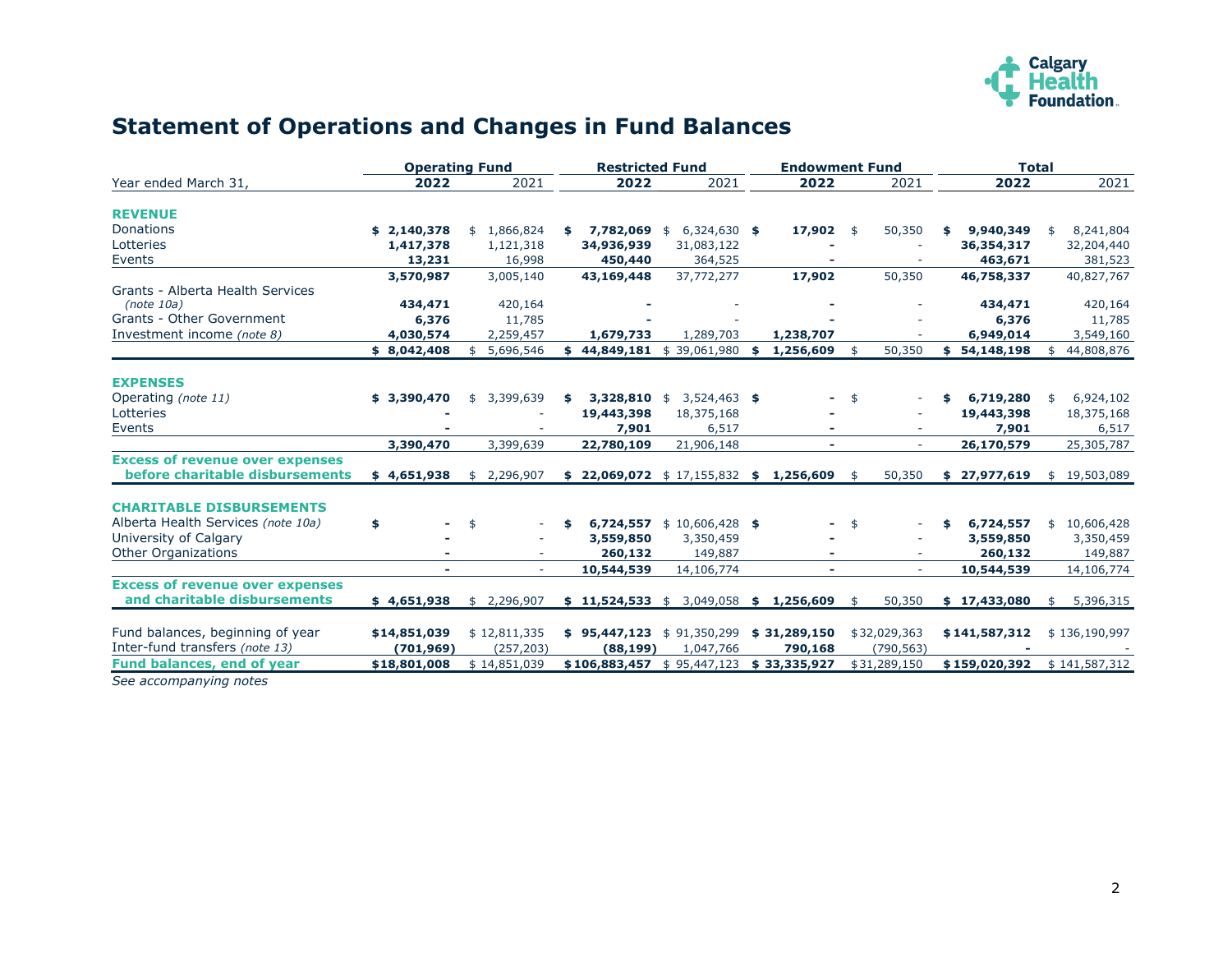

## **Statement of Operations and Changes in Fund Balances**

|                                        | <b>Operating Fund</b> |                 | <b>Restricted Fund</b> |                                        | <b>Endowment Fund</b> |                          |               |              |    | <b>Total</b>  |      |               |  |  |
|----------------------------------------|-----------------------|-----------------|------------------------|----------------------------------------|-----------------------|--------------------------|---------------|--------------|----|---------------|------|---------------|--|--|
| Year ended March 31,                   | 2022                  | 2021            | 2022                   | 2021                                   |                       | 2022                     |               | 2021         |    | 2022          |      | 2021          |  |  |
| <b>REVENUE</b>                         |                       |                 |                        |                                        |                       |                          |               |              |    |               |      |               |  |  |
| Donations                              | \$2,140,378           | 1,866,824<br>\$ | \$<br>7,782,069 \$     | $6,324,630$ \$                         |                       | 17,902                   | \$            | 50,350       | s  | 9,940,349     | -\$  | 8,241,804     |  |  |
| Lotteries                              | 1,417,378             | 1,121,318       | 34,936,939             | 31,083,122                             |                       |                          |               |              |    | 36,354,317    |      | 32,204,440    |  |  |
| Events                                 | 13,231                | 16,998          | 450,440                | 364,525                                |                       |                          |               |              |    | 463,671       |      | 381,523       |  |  |
|                                        | 3,570,987             | 3,005,140       | 43,169,448             | 37,772,277                             |                       | 17,902                   |               | 50,350       |    | 46,758,337    |      | 40,827,767    |  |  |
| Grants - Alberta Health Services       |                       |                 |                        |                                        |                       |                          |               |              |    |               |      |               |  |  |
| (note 10a)                             | 434,471               | 420,164         |                        |                                        |                       |                          |               |              |    | 434,471       |      | 420,164       |  |  |
| Grants - Other Government              | 6,376                 | 11,785          |                        |                                        |                       |                          |               |              |    | 6,376         |      | 11,785        |  |  |
| Investment income (note 8)             | 4,030,574             | 2,259,457       | 1,679,733              | 1,289,703                              |                       | 1,238,707                |               |              |    | 6,949,014     |      | 3,549,160     |  |  |
|                                        | \$8,042,408           | 5,696,546       |                        | $$44,849,181 \ $39,061,980$            | \$                    | 1,256,609                | \$            | 50,350       |    | 54,148,198    | \$   | 44,808,876    |  |  |
|                                        |                       |                 |                        |                                        |                       |                          |               |              |    |               |      |               |  |  |
| <b>EXPENSES</b>                        |                       |                 |                        |                                        |                       |                          |               |              |    |               |      |               |  |  |
| Operating (note 11)                    | \$3,390,470           | 3,399,639<br>\$ | \$<br>$3,328,810$ \$   | 3,524,463 \$                           |                       |                          | $\frac{4}{5}$ |              | \$ | 6,719,280     | - \$ | 6,924,102     |  |  |
| Lotteries                              |                       |                 | 19,443,398             | 18,375,168                             |                       |                          |               |              |    | 19,443,398    |      | 18,375,168    |  |  |
| Events                                 |                       |                 | 7,901                  | 6,517                                  |                       |                          |               |              |    | 7,901         |      | 6,517         |  |  |
|                                        | 3,390,470             | 3,399,639       | 22,780,109             | 21,906,148                             |                       | $\overline{\phantom{a}}$ |               |              |    | 26,170,579    |      | 25,305,787    |  |  |
| <b>Excess of revenue over expenses</b> |                       |                 |                        |                                        |                       |                          |               |              |    |               |      |               |  |  |
| before charitable disbursements        | \$4,651,938           | \$2,296,907     |                        | $$22,069,072 \$17,155,832 \$1,256,609$ |                       |                          | \$            | 50,350       | \$ | 27,977,619    |      | \$19,503,089  |  |  |
|                                        |                       |                 |                        |                                        |                       |                          |               |              |    |               |      |               |  |  |
| <b>CHARITABLE DISBURSEMENTS</b>        |                       |                 |                        |                                        |                       |                          |               |              |    |               |      |               |  |  |
| Alberta Health Services (note 10a)     | \$                    | \$              | \$                     | 6,724,557 $$10,606,428$ \$             |                       |                          | \$            |              | \$ | 6,724,557     | \$   | 10,606,428    |  |  |
| University of Calgary                  |                       |                 | 3,559,850              | 3,350,459                              |                       |                          |               |              |    | 3,559,850     |      | 3,350,459     |  |  |
| <b>Other Organizations</b>             |                       |                 | 260,132                | 149,887                                |                       |                          |               |              |    | 260,132       |      | 149,887       |  |  |
|                                        | $\blacksquare$        | ×.              | 10,544,539             | 14,106,774                             |                       | $\blacksquare$           |               |              |    | 10,544,539    |      | 14,106,774    |  |  |
| <b>Excess of revenue over expenses</b> |                       |                 |                        |                                        |                       |                          |               |              |    |               |      |               |  |  |
| and charitable disbursements           | \$4,651,938           | \$2,296,907     | $$11,524,533$ \$       | 3,049,058                              |                       | \$1,256,609              | \$            | 50,350       |    | \$17,433,080  | \$   | 5,396,315     |  |  |
|                                        |                       |                 |                        |                                        |                       |                          |               |              |    |               |      |               |  |  |
| Fund balances, beginning of year       | \$14,851,039          | \$12,811,335    |                        | \$95,447,123\$ \$91,350,299            |                       | \$31,289,150             |               | \$32,029,363 |    | \$141,587,312 |      | \$136,190,997 |  |  |
| Inter-fund transfers (note 13)         | (701, 969)            | (257, 203)      | (88, 199)              | 1,047,766                              |                       | 790,168                  |               | (790, 563)   |    |               |      |               |  |  |
| <b>Fund balances, end of year</b>      | \$18,801,008          | \$14,851,039    |                        | $$106,883,457 \$95,447,123$            |                       | \$33,335,927             |               | \$31,289,150 |    | \$159,020,392 |      | \$141,587,312 |  |  |
| See accompanying notes                 |                       |                 |                        |                                        |                       |                          |               |              |    |               |      |               |  |  |

2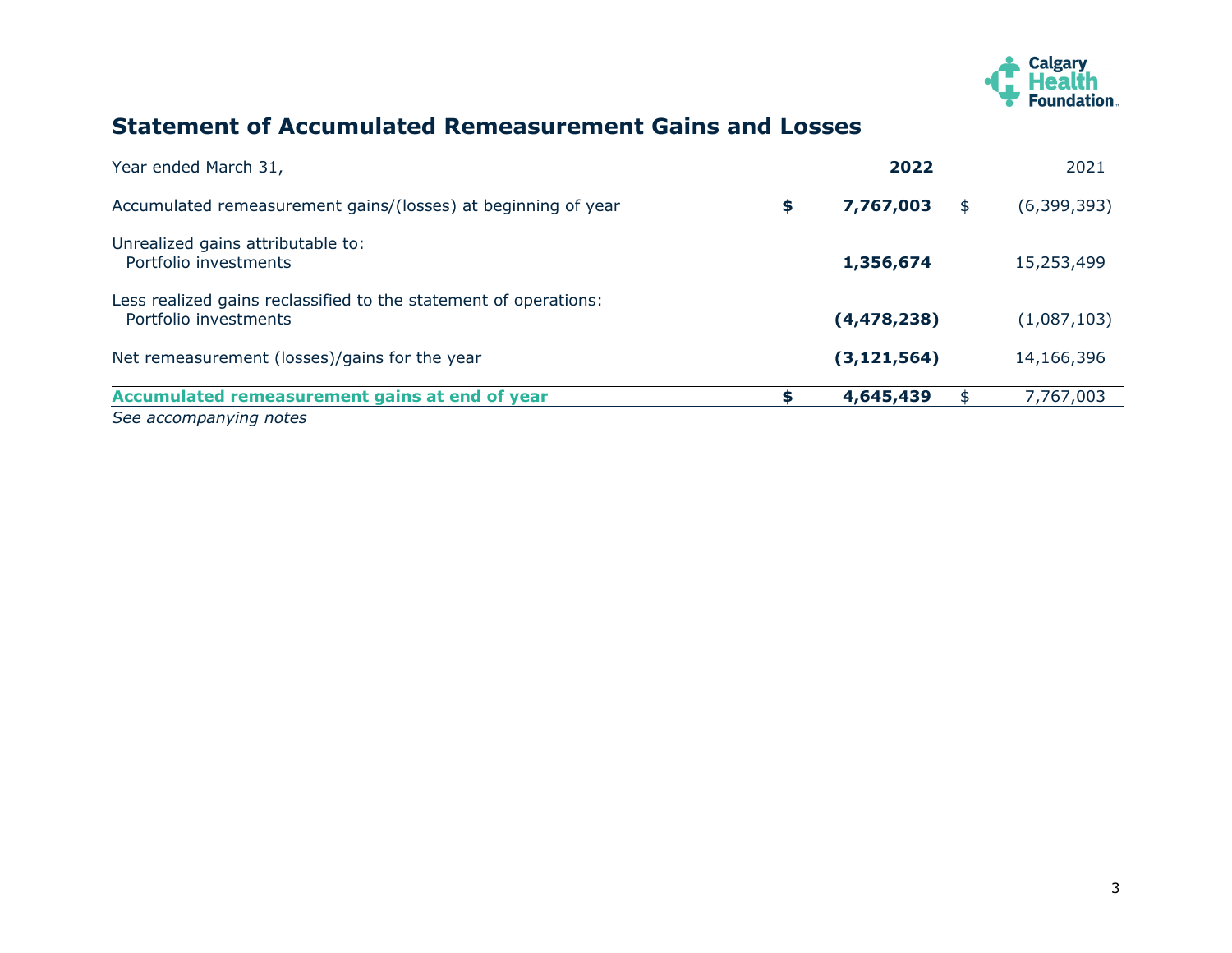

### **Statement of Accumulated Remeasurement Gains and Losses**

| Year ended March 31,                                                                      | 2022            |   | 2021          |
|-------------------------------------------------------------------------------------------|-----------------|---|---------------|
| Accumulated remeasurement gains/(losses) at beginning of year                             | \$<br>7,767,003 | S | (6, 399, 393) |
| Unrealized gains attributable to:<br>Portfolio investments                                | 1,356,674       |   | 15,253,499    |
| Less realized gains reclassified to the statement of operations:<br>Portfolio investments | (4, 478, 238)   |   | (1,087,103)   |
| Net remeasurement (losses)/gains for the year                                             | (3, 121, 564)   |   | 14,166,396    |
| Accumulated remeasurement gains at end of year                                            | 4,645,439       |   | 7,767,003     |
| See accompanying notes                                                                    |                 |   |               |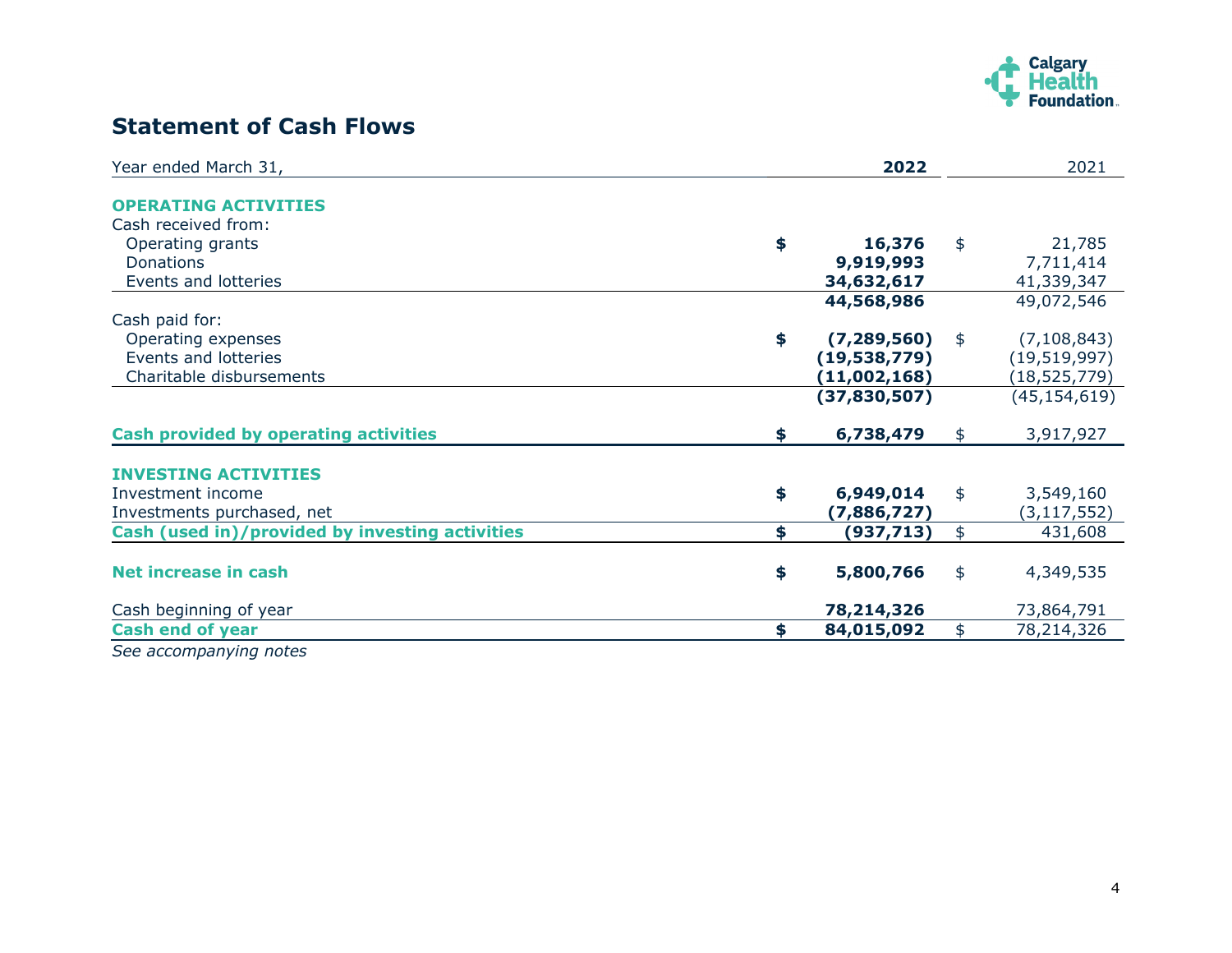

### **Statement of Cash Flows**

| Year ended March 31,                            | 2022                |               | 2021           |
|-------------------------------------------------|---------------------|---------------|----------------|
| <b>OPERATING ACTIVITIES</b>                     |                     |               |                |
| Cash received from:                             |                     |               |                |
| Operating grants                                | \$<br>16,376        | \$            | 21,785         |
| <b>Donations</b>                                | 9,919,993           |               | 7,711,414      |
| Events and lotteries                            | 34,632,617          |               | 41,339,347     |
|                                                 | 44,568,986          |               | 49,072,546     |
| Cash paid for:                                  |                     |               |                |
| Operating expenses                              | \$<br>(7, 289, 560) | \$            | (7, 108, 843)  |
| Events and lotteries                            | (19, 538, 779)      |               | (19, 519, 997) |
| Charitable disbursements                        | (11,002,168)        |               | (18, 525, 779) |
|                                                 | (37, 830, 507)      |               | (45, 154, 619) |
| <b>Cash provided by operating activities</b>    | \$<br>6,738,479     | \$            | 3,917,927      |
| <b>INVESTING ACTIVITIES</b>                     |                     |               |                |
| Investment income                               | \$<br>6,949,014     | $\frac{1}{2}$ | 3,549,160      |
| Investments purchased, net                      | (7,886,727)         |               | (3, 117, 552)  |
| Cash (used in)/provided by investing activities | \$<br>(937, 713)    | \$            | 431,608        |
|                                                 |                     |               |                |
| Net increase in cash                            | \$<br>5,800,766     | $\frac{1}{2}$ | 4,349,535      |
| Cash beginning of year                          | 78,214,326          |               | 73,864,791     |
| <b>Cash end of year</b>                         | \$<br>84,015,092    | \$            | 78,214,326     |

*See accompanying notes*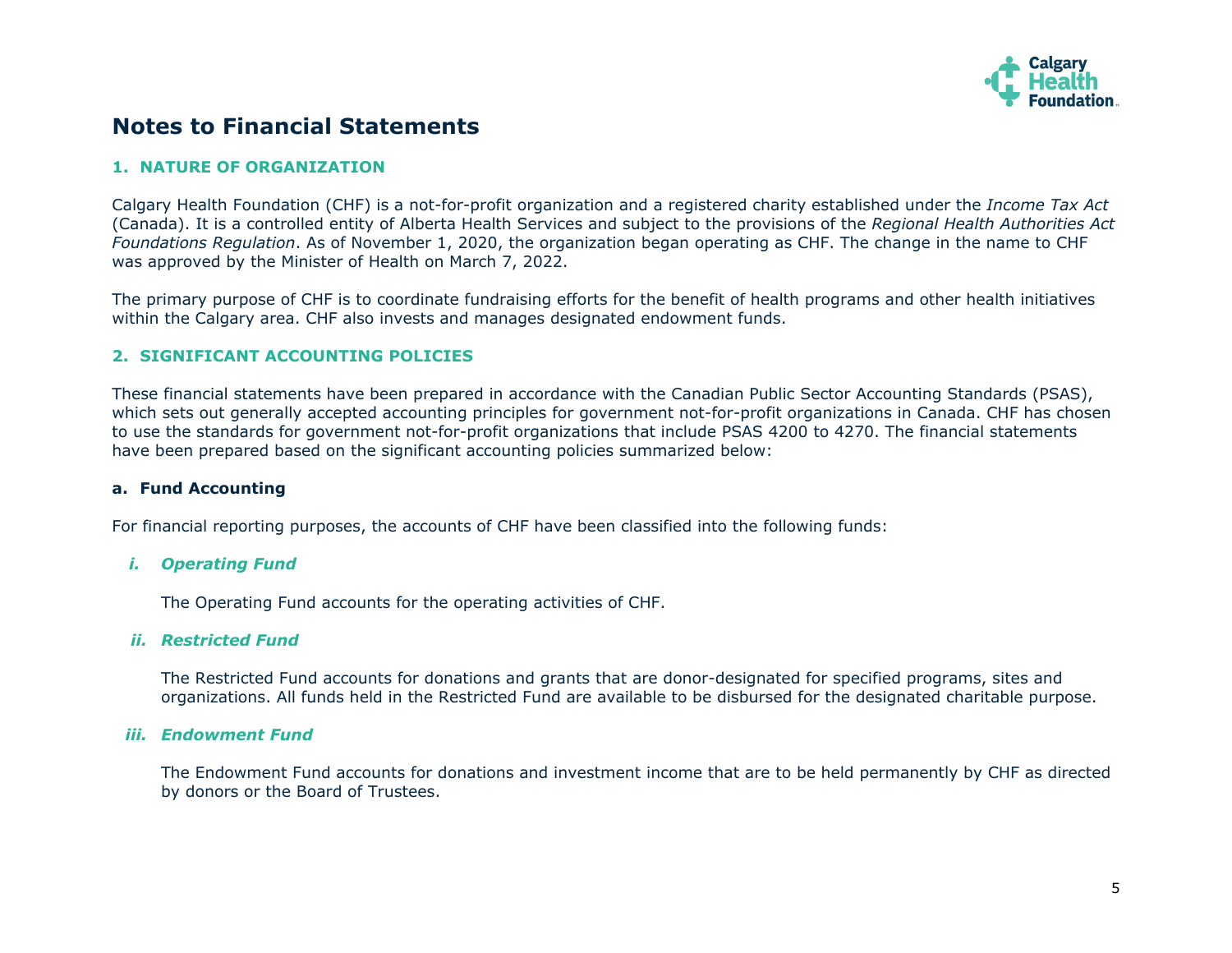

### **Notes to Financial Statements**

#### **1. NATURE OF ORGANIZATION**

Calgary Health Foundation (CHF) is a not-for-profit organization and a registered charity established under the *Income Tax Act*  (Canada). It is a controlled entity of Alberta Health Services and subject to the provisions of the *Regional Health Authorities Act Foundations Regulation*. As of November 1, 2020, the organization began operating as CHF. The change in the name to CHF was approved by the Minister of Health on March 7, 2022.

The primary purpose of CHF is to coordinate fundraising efforts for the benefit of health programs and other health initiatives within the Calgary area. CHF also invests and manages designated endowment funds.

#### **2. SIGNIFICANT ACCOUNTING POLICIES**

These financial statements have been prepared in accordance with the Canadian Public Sector Accounting Standards (PSAS), which sets out generally accepted accounting principles for government not-for-profit organizations in Canada. CHF has chosen to use the standards for government not-for-profit organizations that include PSAS 4200 to 4270. The financial statements have been prepared based on the significant accounting policies summarized below:

#### **a. Fund Accounting**

For financial reporting purposes, the accounts of CHF have been classified into the following funds:

#### *i. Operating Fund*

The Operating Fund accounts for the operating activities of CHF.

#### *ii. Restricted Fund*

The Restricted Fund accounts for donations and grants that are donor-designated for specified programs, sites and organizations. All funds held in the Restricted Fund are available to be disbursed for the designated charitable purpose.

#### *iii. Endowment Fund*

The Endowment Fund accounts for donations and investment income that are to be held permanently by CHF as directed by donors or the Board of Trustees.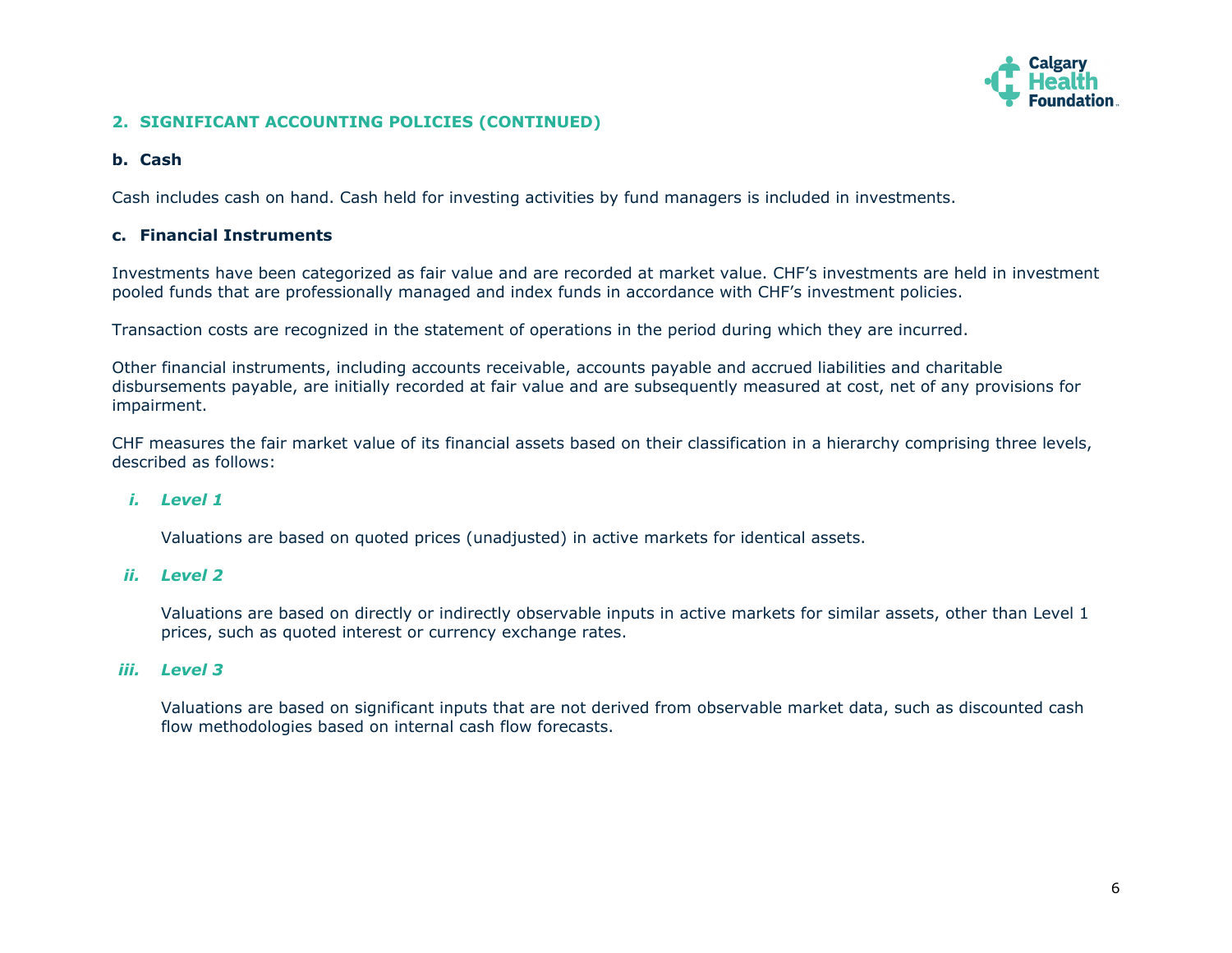

#### **2. SIGNIFICANT ACCOUNTING POLICIES (CONTINUED)**

#### **b. Cash**

Cash includes cash on hand. Cash held for investing activities by fund managers is included in investments.

#### **c. Financial Instruments**

Investments have been categorized as fair value and are recorded at market value. CHF's investments are held in investment pooled funds that are professionally managed and index funds in accordance with CHF's investment policies.

Transaction costs are recognized in the statement of operations in the period during which they are incurred.

Other financial instruments, including accounts receivable, accounts payable and accrued liabilities and charitable disbursements payable, are initially recorded at fair value and are subsequently measured at cost, net of any provisions for impairment.

CHF measures the fair market value of its financial assets based on their classification in a hierarchy comprising three levels, described as follows:

#### *i. Level 1*

Valuations are based on quoted prices (unadjusted) in active markets for identical assets.

#### *ii. Level 2*

Valuations are based on directly or indirectly observable inputs in active markets for similar assets, other than Level 1 prices, such as quoted interest or currency exchange rates.

#### *iii. Level 3*

Valuations are based on significant inputs that are not derived from observable market data, such as discounted cash flow methodologies based on internal cash flow forecasts.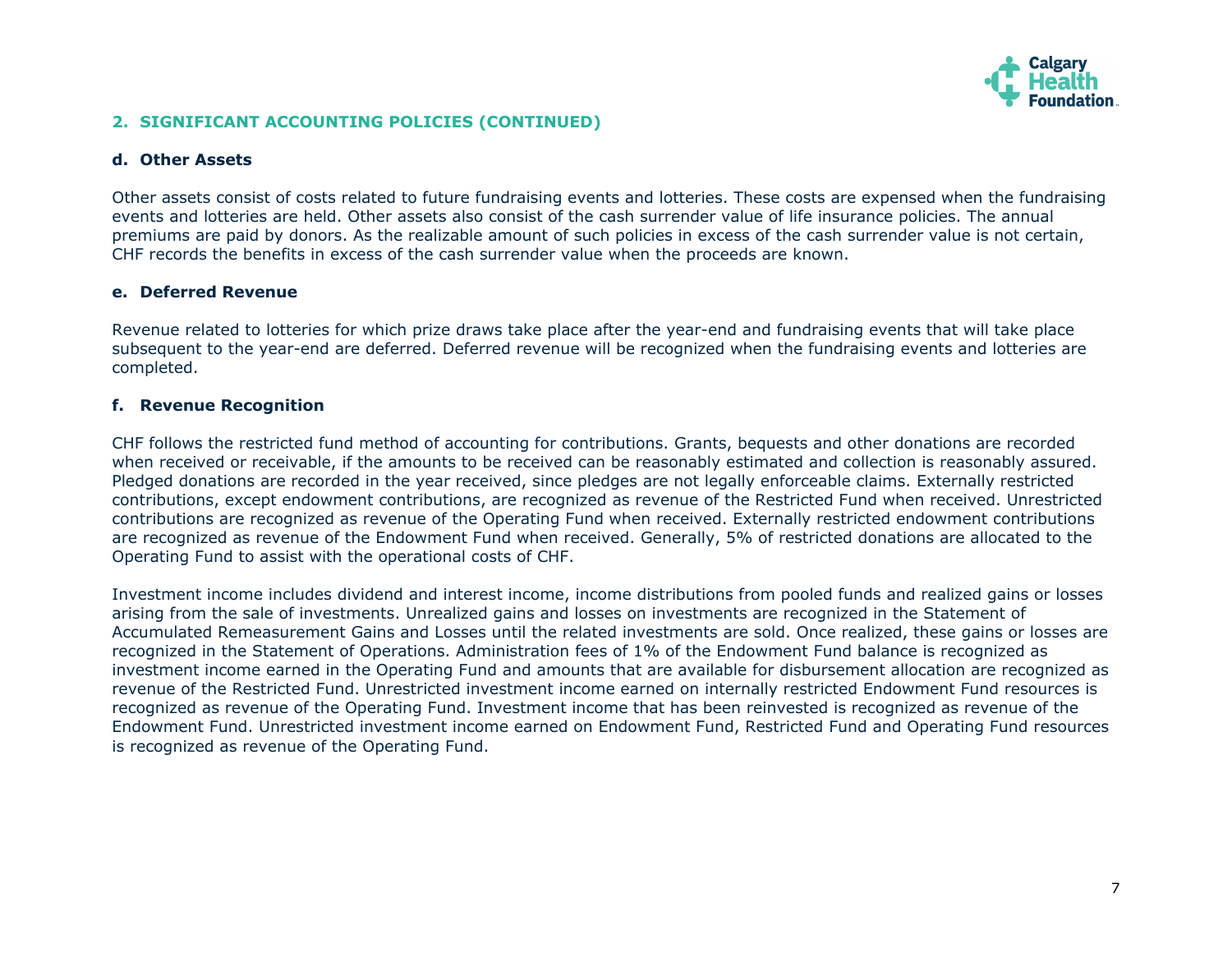

#### **2. SIGNIFICANT ACCOUNTING POLICIES (CONTINUED)**

#### **d. Other Assets**

Other assets consist of costs related to future fundraising events and lotteries. These costs are expensed when the fundraising events and lotteries are held. Other assets also consist of the cash surrender value of life insurance policies. The annual premiums are paid by donors. As the realizable amount of such policies in excess of the cash surrender value is not certain, CHF records the benefits in excess of the cash surrender value when the proceeds are known.

#### **e. Deferred Revenue**

Revenue related to lotteries for which prize draws take place after the year-end and fundraising events that will take place subsequent to the year-end are deferred. Deferred revenue will be recognized when the fundraising events and lotteries are completed.

#### **f. Revenue Recognition**

CHF follows the restricted fund method of accounting for contributions. Grants, bequests and other donations are recorded when received or receivable, if the amounts to be received can be reasonably estimated and collection is reasonably assured. Pledged donations are recorded in the year received, since pledges are not legally enforceable claims. Externally restricted contributions, except endowment contributions, are recognized as revenue of the Restricted Fund when received. Unrestricted contributions are recognized as revenue of the Operating Fund when received. Externally restricted endowment contributions are recognized as revenue of the Endowment Fund when received. Generally, 5% of restricted donations are allocated to the Operating Fund to assist with the operational costs of CHF.

Investment income includes dividend and interest income, income distributions from pooled funds and realized gains or losses arising from the sale of investments. Unrealized gains and losses on investments are recognized in the Statement of Accumulated Remeasurement Gains and Losses until the related investments are sold. Once realized, these gains or losses are recognized in the Statement of Operations. Administration fees of 1% of the Endowment Fund balance is recognized as investment income earned in the Operating Fund and amounts that are available for disbursement allocation are recognized as revenue of the Restricted Fund. Unrestricted investment income earned on internally restricted Endowment Fund resources is recognized as revenue of the Operating Fund. Investment income that has been reinvested is recognized as revenue of the Endowment Fund. Unrestricted investment income earned on Endowment Fund, Restricted Fund and Operating Fund resources is recognized as revenue of the Operating Fund.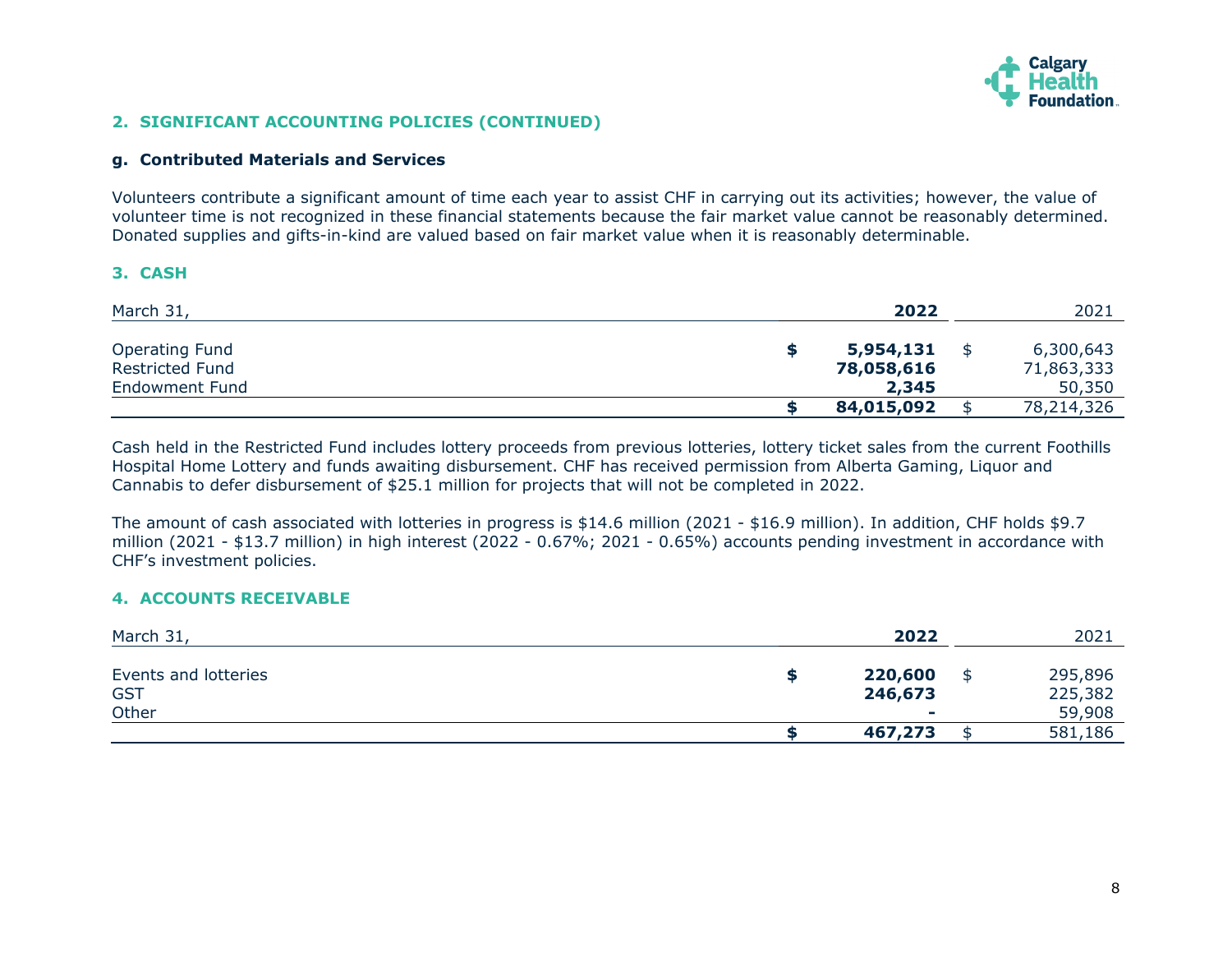

#### **2. SIGNIFICANT ACCOUNTING POLICIES (CONTINUED)**

#### **g. Contributed Materials and Services**

Volunteers contribute a significant amount of time each year to assist CHF in carrying out its activities; however, the value of volunteer time is not recognized in these financial statements because the fair market value cannot be reasonably determined. Donated supplies and gifts-in-kind are valued based on fair market value when it is reasonably determinable.

#### **3. CASH**

| March 31,                                       | 2022                    | 2021                    |
|-------------------------------------------------|-------------------------|-------------------------|
| <b>Operating Fund</b><br><b>Restricted Fund</b> | 5,954,131<br>78,058,616 | 6,300,643<br>71,863,333 |
| <b>Endowment Fund</b>                           | 2,345                   | 50,350                  |
|                                                 | 84,015,092              | 78,214,326              |

Cash held in the Restricted Fund includes lottery proceeds from previous lotteries, lottery ticket sales from the current Foothills Hospital Home Lottery and funds awaiting disbursement. CHF has received permission from Alberta Gaming, Liquor and Cannabis to defer disbursement of \$25.1 million for projects that will not be completed in 2022.

The amount of cash associated with lotteries in progress is \$14.6 million (2021 - \$16.9 million). In addition, CHF holds \$9.7 million (2021 - \$13.7 million) in high interest (2022 - 0.67%; 2021 - 0.65%) accounts pending investment in accordance with CHF's investment policies.

#### **4. ACCOUNTS RECEIVABLE**

| March 31,                                   |   | 2022                             | 2021                         |
|---------------------------------------------|---|----------------------------------|------------------------------|
| Events and lotteries<br><b>GST</b><br>Other | m | 220,600<br>246,673<br><b>COL</b> | 295,896<br>225,382<br>59,908 |
|                                             |   | 467,273                          | 581,186                      |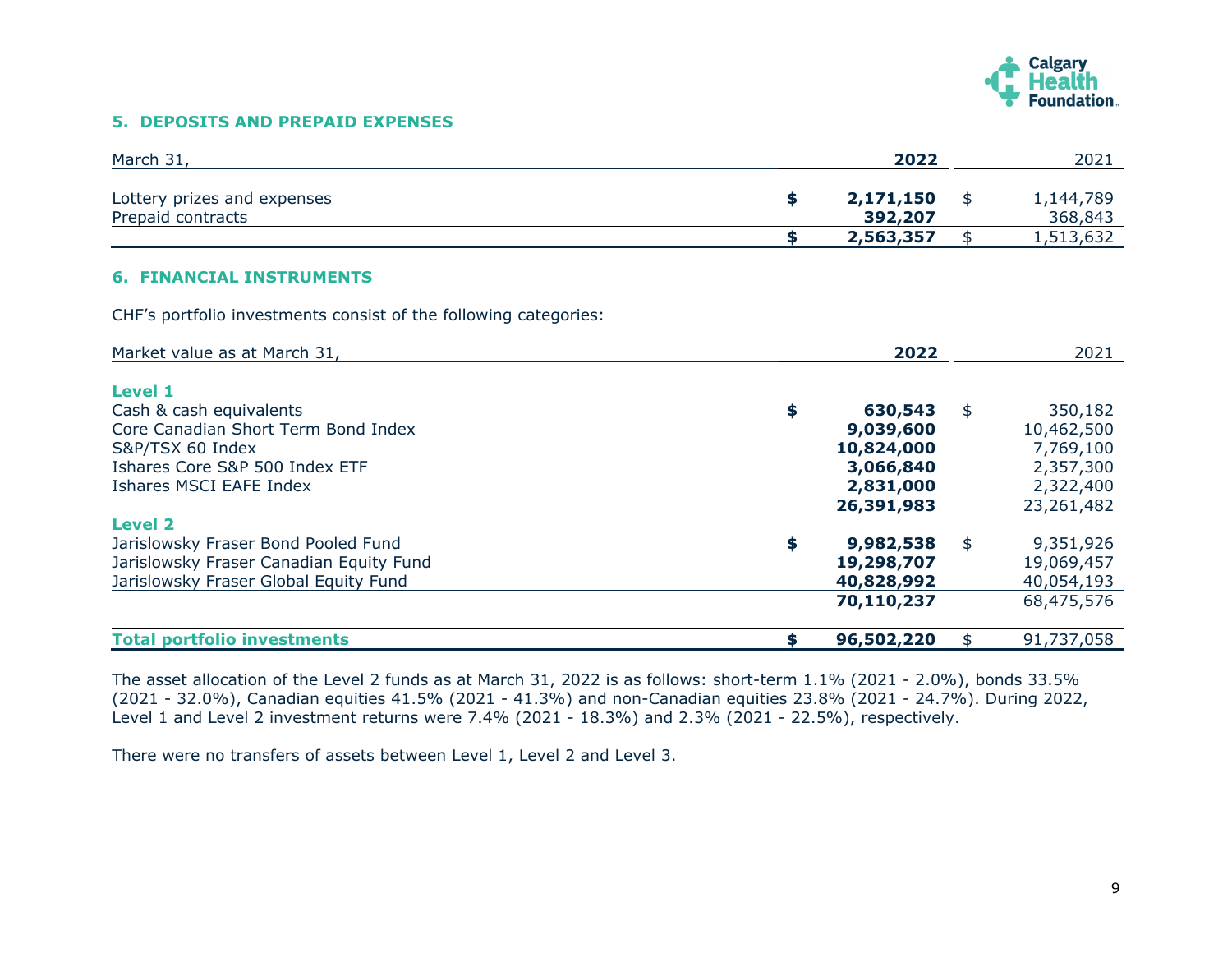

#### **5. DEPOSITS AND PREPAID EXPENSES**

| March 31,                                                                                                                                                         | 2022                                                               |               | 2021                                                         |
|-------------------------------------------------------------------------------------------------------------------------------------------------------------------|--------------------------------------------------------------------|---------------|--------------------------------------------------------------|
| Lottery prizes and expenses<br>Prepaid contracts                                                                                                                  | \$<br>2,171,150<br>392,207                                         | \$            | 1,144,789<br>368,843                                         |
|                                                                                                                                                                   | \$<br>2,563,357                                                    | $\frac{1}{2}$ | 1,513,632                                                    |
| <b>6. FINANCIAL INSTRUMENTS</b>                                                                                                                                   |                                                                    |               |                                                              |
| CHF's portfolio investments consist of the following categories:                                                                                                  |                                                                    |               |                                                              |
| Market value as at March 31,                                                                                                                                      | 2022                                                               |               | 2021                                                         |
| <b>Level 1</b><br>Cash & cash equivalents<br>Core Canadian Short Term Bond Index<br>S&P/TSX 60 Index<br>Ishares Core S&P 500 Index ETF<br>Ishares MSCI EAFE Index | \$<br>630,543<br>9,039,600<br>10,824,000<br>3,066,840<br>2,831,000 | \$            | 350,182<br>10,462,500<br>7,769,100<br>2,357,300<br>2,322,400 |
| <b>Level 2</b><br>Jarislowsky Fraser Bond Pooled Fund<br>Jarislowsky Fraser Canadian Equity Fund<br>Jarislowsky Fraser Global Equity Fund                         | \$<br>26,391,983<br>9,982,538<br>19,298,707<br>40,828,992          | \$            | 23,261,482<br>9,351,926<br>19,069,457<br>40,054,193          |
|                                                                                                                                                                   | 70,110,237                                                         |               | 68,475,576                                                   |
| <b>Total portfolio investments</b>                                                                                                                                | \$<br>96,502,220                                                   | \$            | 91,737,058                                                   |

The asset allocation of the Level 2 funds as at March 31, 2022 is as follows: short-term 1.1% (2021 - 2.0%), bonds 33.5% (2021 - 32.0%), Canadian equities 41.5% (2021 - 41.3%) and non-Canadian equities 23.8% (2021 - 24.7%). During 2022, Level 1 and Level 2 investment returns were 7.4% (2021 - 18.3%) and 2.3% (2021 - 22.5%), respectively.

There were no transfers of assets between Level 1, Level 2 and Level 3.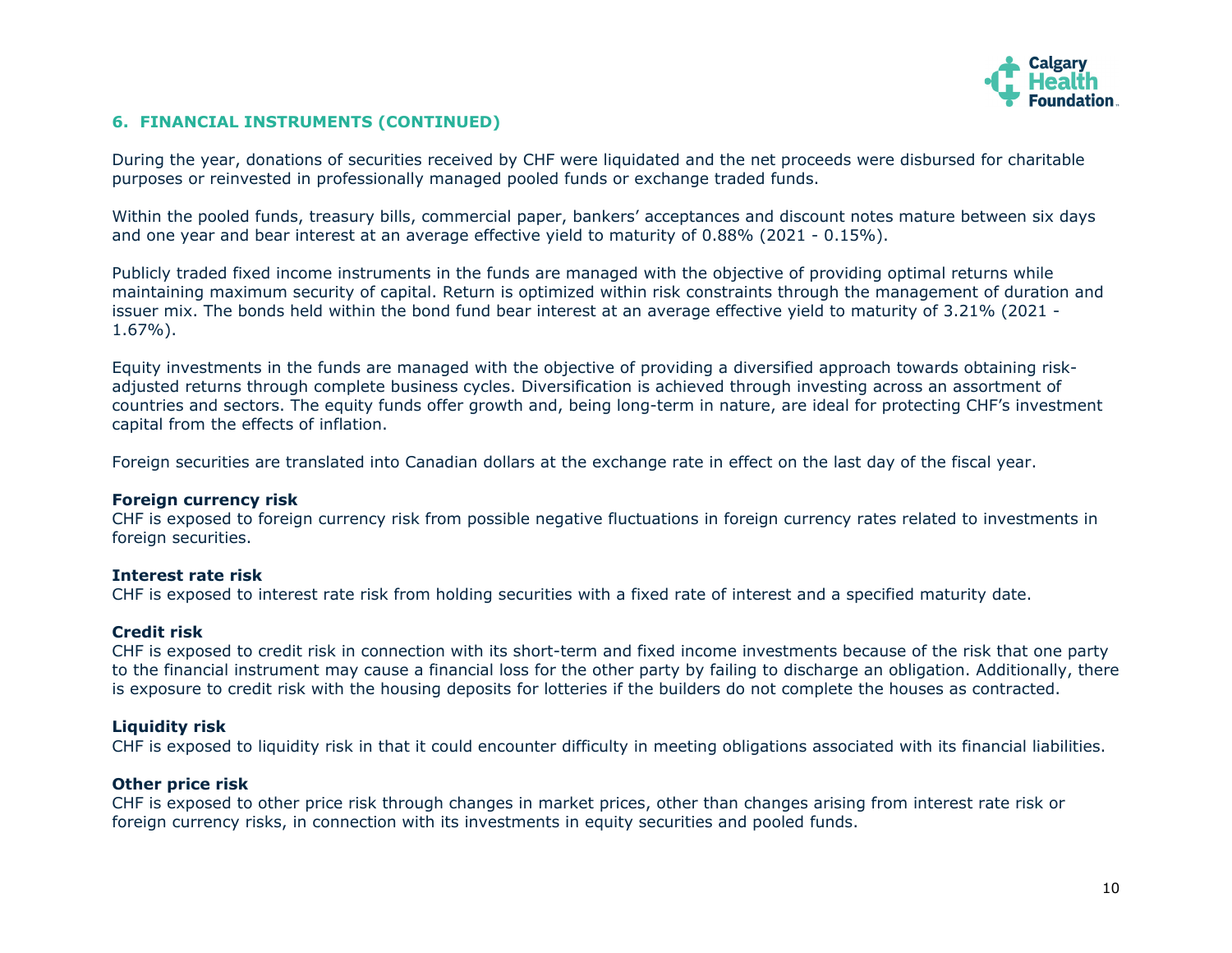

#### **6. FINANCIAL INSTRUMENTS (CONTINUED)**

During the year, donations of securities received by CHF were liquidated and the net proceeds were disbursed for charitable purposes or reinvested in professionally managed pooled funds or exchange traded funds.

Within the pooled funds, treasury bills, commercial paper, bankers' acceptances and discount notes mature between six days and one year and bear interest at an average effective yield to maturity of 0.88% (2021 - 0.15%).

Publicly traded fixed income instruments in the funds are managed with the objective of providing optimal returns while maintaining maximum security of capital. Return is optimized within risk constraints through the management of duration and issuer mix. The bonds held within the bond fund bear interest at an average effective yield to maturity of 3.21% (2021 - 1.67%).

Equity investments in the funds are managed with the objective of providing a diversified approach towards obtaining riskadjusted returns through complete business cycles. Diversification is achieved through investing across an assortment of countries and sectors. The equity funds offer growth and, being long-term in nature, are ideal for protecting CHF's investment capital from the effects of inflation.

Foreign securities are translated into Canadian dollars at the exchange rate in effect on the last day of the fiscal year.

#### **Foreign currency risk**

CHF is exposed to foreign currency risk from possible negative fluctuations in foreign currency rates related to investments in foreign securities.

#### **Interest rate risk**

CHF is exposed to interest rate risk from holding securities with a fixed rate of interest and a specified maturity date.

#### **Credit risk**

CHF is exposed to credit risk in connection with its short-term and fixed income investments because of the risk that one party to the financial instrument may cause a financial loss for the other party by failing to discharge an obligation. Additionally, there is exposure to credit risk with the housing deposits for lotteries if the builders do not complete the houses as contracted.

#### **Liquidity risk**

CHF is exposed to liquidity risk in that it could encounter difficulty in meeting obligations associated with its financial liabilities.

#### **Other price risk**

CHF is exposed to other price risk through changes in market prices, other than changes arising from interest rate risk or foreign currency risks, in connection with its investments in equity securities and pooled funds.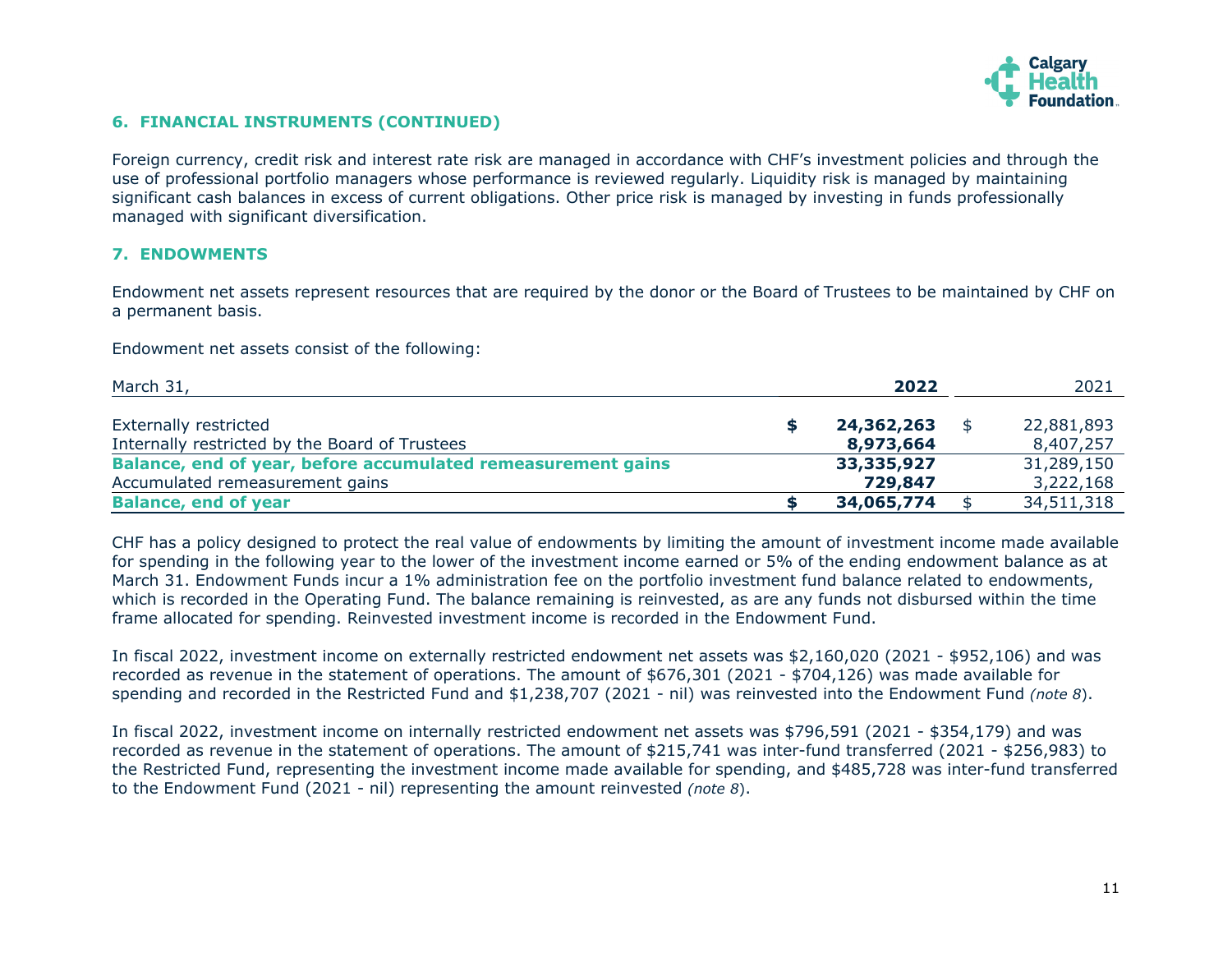

#### **6. FINANCIAL INSTRUMENTS (CONTINUED)**

Foreign currency, credit risk and interest rate risk are managed in accordance with CHF's investment policies and through the use of professional portfolio managers whose performance is reviewed regularly. Liquidity risk is managed by maintaining significant cash balances in excess of current obligations. Other price risk is managed by investing in funds professionally managed with significant diversification.

#### **7. ENDOWMENTS**

Endowment net assets represent resources that are required by the donor or the Board of Trustees to be maintained by CHF on a permanent basis.

Endowment net assets consist of the following:

| March 31,                                                                                       | 2022                    | 2021                    |
|-------------------------------------------------------------------------------------------------|-------------------------|-------------------------|
| <b>Externally restricted</b><br>Internally restricted by the Board of Trustees                  | 24,362,263<br>8,973,664 | 22,881,893<br>8,407,257 |
| Balance, end of year, before accumulated remeasurement gains<br>Accumulated remeasurement gains | 33,335,927<br>729,847   | 31,289,150<br>3,222,168 |
| <b>Balance, end of year</b>                                                                     | 34,065,774              | 34,511,318              |

CHF has a policy designed to protect the real value of endowments by limiting the amount of investment income made available for spending in the following year to the lower of the investment income earned or 5% of the ending endowment balance as at March 31. Endowment Funds incur a 1% administration fee on the portfolio investment fund balance related to endowments, which is recorded in the Operating Fund. The balance remaining is reinvested, as are any funds not disbursed within the time frame allocated for spending. Reinvested investment income is recorded in the Endowment Fund.

In fiscal 2022, investment income on externally restricted endowment net assets was \$2,160,020 (2021 - \$952,106) and was recorded as revenue in the statement of operations. The amount of \$676,301 (2021 - \$704,126) was made available for spending and recorded in the Restricted Fund and \$1,238,707 (2021 - nil) was reinvested into the Endowment Fund *(note 8*).

In fiscal 2022, investment income on internally restricted endowment net assets was \$796,591 (2021 - \$354,179) and was recorded as revenue in the statement of operations. The amount of \$215,741 was inter-fund transferred (2021 - \$256,983) to the Restricted Fund, representing the investment income made available for spending, and \$485,728 was inter-fund transferred to the Endowment Fund (2021 - nil) representing the amount reinvested *(note 8*).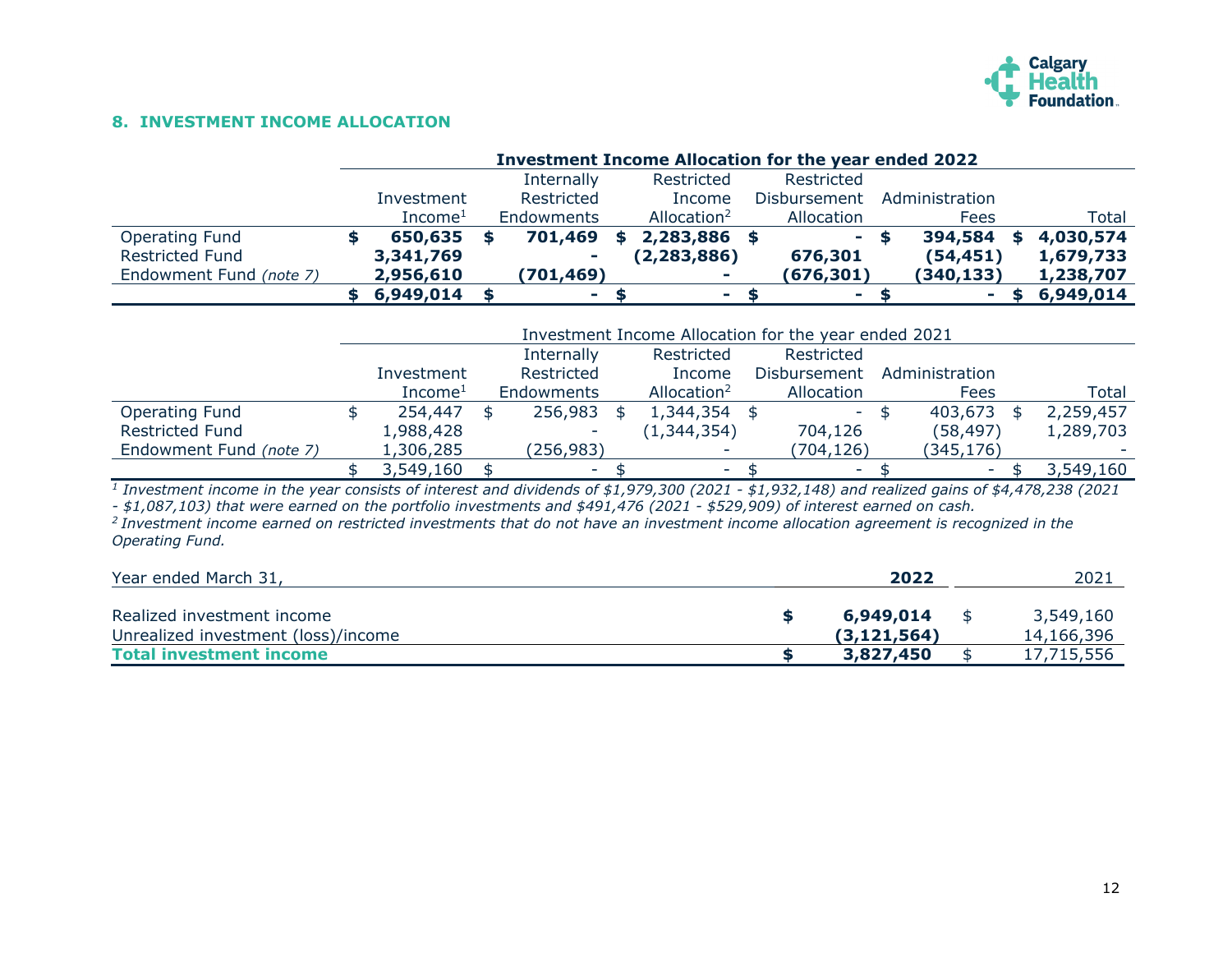

#### **8. INVESTMENT INCOME ALLOCATION**

|                         |            |            |     | <b>Investment Income Allocation for the year ended 2022</b> |              |                |    |              |
|-------------------------|------------|------------|-----|-------------------------------------------------------------|--------------|----------------|----|--------------|
|                         |            | Internally |     | Restricted                                                  | Restricted   |                |    |              |
|                         | Investment | Restricted |     | Income                                                      | Disbursement | Administration |    |              |
|                         | Income $1$ | Endowments |     | Allocation <sup>2</sup>                                     | Allocation   | Fees           |    | <b>Total</b> |
| Operating Fund          | 650,635    | 701,469    | \$. | 2,283,886 \$                                                | - S          | 394,584        | S. | 4,030,574    |
| <b>Restricted Fund</b>  | 3,341,769  |            |     | (2, 283, 886)                                               | 676,301      | (54, 451)      |    | 1,679,733    |
| Endowment Fund (note 7) | 2,956,610  | (701, 469) |     |                                                             | (676, 301)   | (340, 133)     |    | 1,238,707    |
|                         | 6,949,014  | н.         |     | ۰.                                                          | ÷            |                |    | 6,949,014    |

|                         | Investment Income Allocation for the year ended 2021 |                                        |                          |  |                         |  |                          |                             |           |  |           |  |
|-------------------------|------------------------------------------------------|----------------------------------------|--------------------------|--|-------------------------|--|--------------------------|-----------------------------|-----------|--|-----------|--|
|                         |                                                      | Internally<br>Restricted<br>Restricted |                          |  |                         |  |                          |                             |           |  |           |  |
|                         | Investment                                           |                                        | Restricted               |  | Income                  |  |                          | Disbursement Administration |           |  |           |  |
|                         | Income $1$                                           |                                        | Endowments               |  | Allocation <sup>2</sup> |  | Allocation               |                             | Fees      |  | Total     |  |
| <b>Operating Fund</b>   | 254,447                                              |                                        | 256,983                  |  | $1,344,354$ \$          |  |                          | - \$                        | 403,673   |  | 2,259,457 |  |
| <b>Restricted Fund</b>  | 1,988,428                                            |                                        | -                        |  | (1, 344, 354)           |  | 704,126                  |                             | (58, 497) |  | 1,289,703 |  |
| Endowment Fund (note 7) | 1,306,285                                            |                                        | (256, 983)               |  |                         |  | (704,126)                |                             | (345,176) |  |           |  |
|                         | 3,549,160                                            |                                        | $\overline{\phantom{a}}$ |  | $\sim$                  |  | $\overline{\phantom{a}}$ |                             | $\sim$    |  | 3,549,160 |  |

*1 Investment income in the year consists of interest and dividends of \$1,979,300 (2021 - \$1,932,148) and realized gains of \$4,478,238 (2021 - \$1,087,103) that were earned on the portfolio investments and \$491,476 (2021 - \$529,909) of interest earned on cash.*

*2 Investment income earned on restricted investments that do not have an investment income allocation agreement is recognized in the Operating Fund.*

| Year ended March 31,                                              | 2022                       | 2021                    |
|-------------------------------------------------------------------|----------------------------|-------------------------|
| Realized investment income<br>Unrealized investment (loss)/income | 6,949,014<br>(3, 121, 564) | 3,549,160<br>14,166,396 |
| <b>Total investment income</b>                                    | 3,827,450                  | 17,715,556              |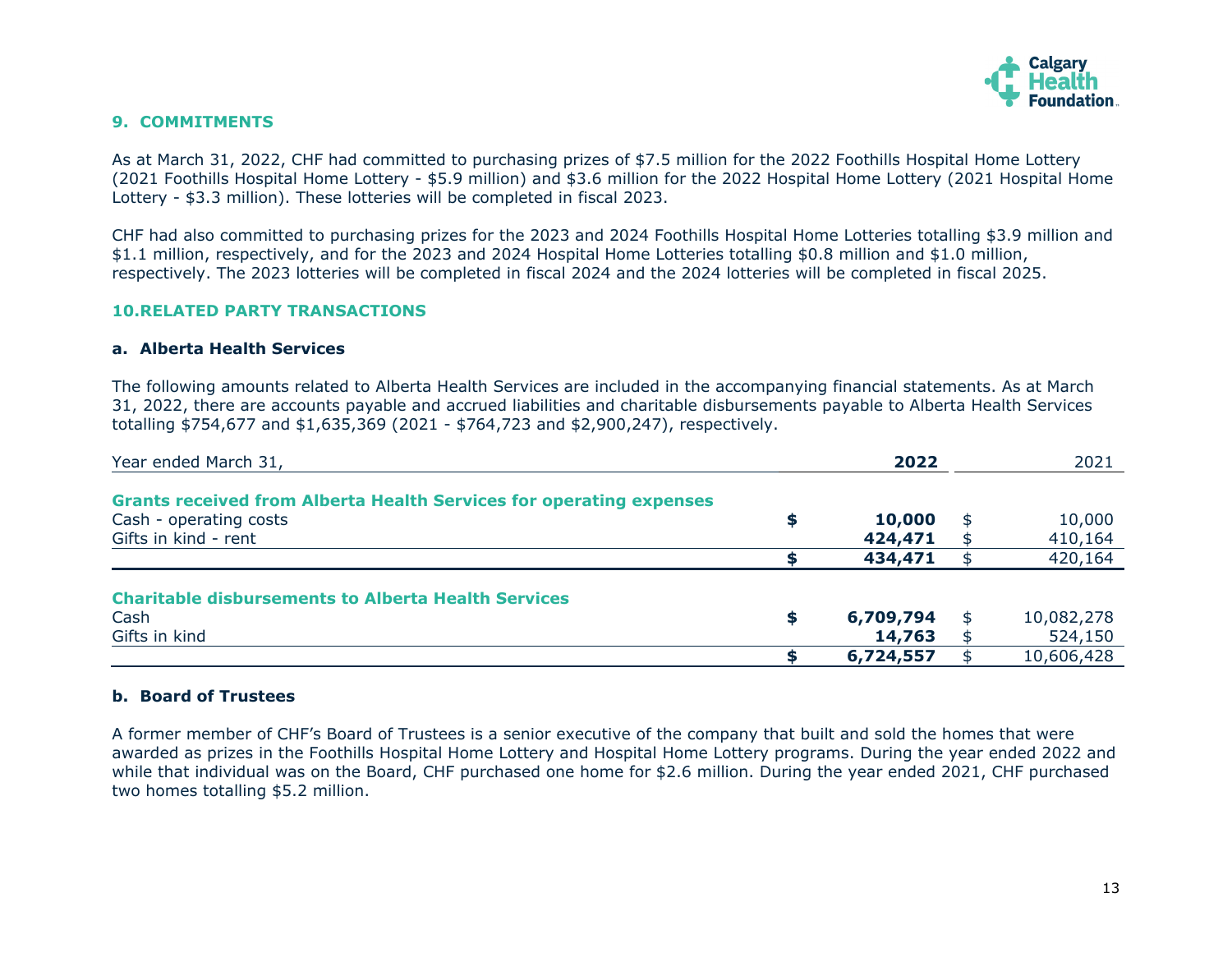

#### **9. COMMITMENTS**

As at March 31, 2022, CHF had committed to purchasing prizes of \$7.5 million for the 2022 Foothills Hospital Home Lottery (2021 Foothills Hospital Home Lottery - \$5.9 million) and \$3.6 million for the 2022 Hospital Home Lottery (2021 Hospital Home Lottery - \$3.3 million). These lotteries will be completed in fiscal 2023.

CHF had also committed to purchasing prizes for the 2023 and 2024 Foothills Hospital Home Lotteries totalling \$3.9 million and \$1.1 million, respectively, and for the 2023 and 2024 Hospital Home Lotteries totalling \$0.8 million and \$1.0 million, respectively. The 2023 lotteries will be completed in fiscal 2024 and the 2024 lotteries will be completed in fiscal 2025.

#### **10.RELATED PARTY TRANSACTIONS**

#### **a. Alberta Health Services**

The following amounts related to Alberta Health Services are included in the accompanying financial statements. As at March 31, 2022, there are accounts payable and accrued liabilities and charitable disbursements payable to Alberta Health Services totalling \$754,677 and \$1,635,369 (2021 - \$764,723 and \$2,900,247), respectively.

| Year ended March 31,                                                       | 2022            | 2021       |
|----------------------------------------------------------------------------|-----------------|------------|
| <b>Grants received from Alberta Health Services for operating expenses</b> |                 |            |
| Cash - operating costs                                                     | \$<br>10,000    | 10,000     |
| Gifts in kind - rent                                                       | 424,471         | 410,164    |
|                                                                            | 434,471         | 420,164    |
| <b>Charitable disbursements to Alberta Health Services</b>                 |                 |            |
| Cash                                                                       | \$<br>6,709,794 | 10,082,278 |
| Gifts in kind                                                              | 14,763          | 524,150    |
|                                                                            | 6,724,557       | 10,606,428 |

#### **b. Board of Trustees**

A former member of CHF's Board of Trustees is a senior executive of the company that built and sold the homes that were awarded as prizes in the Foothills Hospital Home Lottery and Hospital Home Lottery programs. During the year ended 2022 and while that individual was on the Board, CHF purchased one home for \$2.6 million. During the year ended 2021, CHF purchased two homes totalling \$5.2 million.